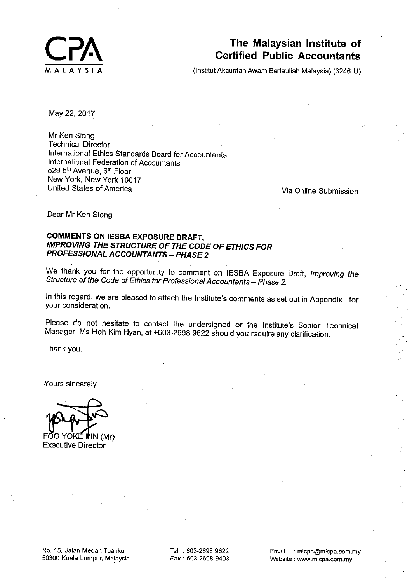

# The Malaysian Institute of **Certified Public Accountants**

(Institut Akauntan Awam Bertauliah Malaysia) (3246-U)

May 22, 2017

Mr Ken Siona **Technical Director** International Ethics Standards Board for Accountants International Federation of Accountants 529 5th Avenue, 6th Floor New York, New York 10017 United States of America

Via Online Submission

Dear Mr Ken Siong

## **COMMENTS ON IESBA EXPOSURE DRAFT, IMPROVING THE STRUCTURE OF THE CODE OF ETHICS FOR PROFESSIONAL ACCOUNTANTS - PHASE 2**

We thank you for the opportunity to comment on IESBA Exposure Draft, Improving the Structure of the Code of Ethics for Professional Accountants - Phase 2.

In this regard, we are pleased to attach the Institute's comments as set out in Appendix I for your consideration.

Please do not hesitate to contact the undersigned or the Institute's Senior Technical Manager, Ms Hoh Kim Hyan, at +603-2698 9622 should you require any clarification.

Thank you.

Yours sincerely

FOO YOKE PIN (Mr) **Executive Director** 

Tel: 603-2698 9622 Fax: 603-2698 9403

Email : micpa@micpa.com.my Website: www.micpa.com.my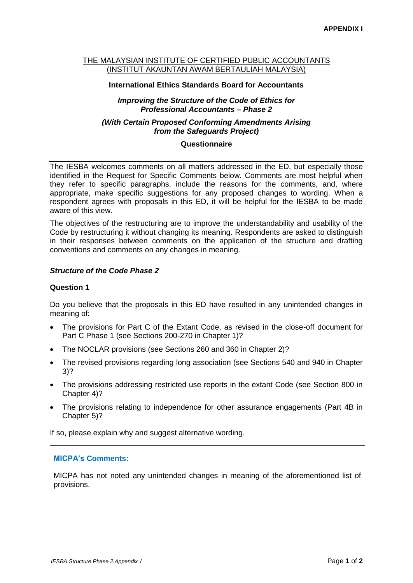#### THE MALAYSIAN INSTITUTE OF CERTIFIED PUBLIC ACCOUNTANTS (INSTITUT AKAUNTAN AWAM BERTAULIAH MALAYSIA)

#### **International Ethics Standards Board for Accountants**

## *Improving the Structure of the Code of Ethics for Professional Accountants – Phase 2*

## *(With Certain Proposed Conforming Amendments Arising from the Safeguards Project)*

#### **Questionnaire**

The IESBA welcomes comments on all matters addressed in the ED, but especially those identified in the Request for Specific Comments below. Comments are most helpful when they refer to specific paragraphs, include the reasons for the comments, and, where appropriate, make specific suggestions for any proposed changes to wording. When a respondent agrees with proposals in this ED, it will be helpful for the IESBA to be made aware of this view.

The objectives of the restructuring are to improve the understandability and usability of the Code by restructuring it without changing its meaning. Respondents are asked to distinguish in their responses between comments on the application of the structure and drafting conventions and comments on any changes in meaning.

## *Structure of the Code Phase 2*

#### **Question 1**

Do you believe that the proposals in this ED have resulted in any unintended changes in meaning of:

- The provisions for Part C of the Extant Code, as revised in the close-off document for Part C Phase 1 (see Sections 200-270 in Chapter 1)?
- The NOCLAR provisions (see Sections 260 and 360 in Chapter 2)?
- The revised provisions regarding long association (see Sections 540 and 940 in Chapter 3)?
- The provisions addressing restricted use reports in the extant Code (see Section 800 in Chapter 4)?
- The provisions relating to independence for other assurance engagements (Part 4B in Chapter 5)?

If so, please explain why and suggest alternative wording.

#### **MICPA's Comments:**

MICPA has not noted any unintended changes in meaning of the aforementioned list of provisions.